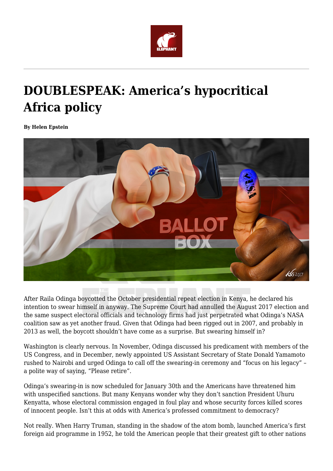

## **DOUBLESPEAK: America's hypocritical Africa policy**

**By Helen Epstein**



After Raila Odinga boycotted the October presidential repeat election in Kenya, he declared his intention to swear himself in anyway. The Supreme Court had annulled the August 2017 election and the same suspect electoral officials and technology firms had just perpetrated what Odinga's NASA coalition saw as yet another fraud. Given that Odinga had been rigged out in 2007, and probably in 2013 as well, the boycott shouldn't have come as a surprise. But swearing himself in?

Washington is clearly nervous. In November, Odinga discussed his predicament with members of the US Congress, and in December, newly appointed US Assistant Secretary of State Donald Yamamoto rushed to Nairobi and urged Odinga to call off the swearing-in ceremony and "focus on his legacy" – a polite way of saying, "Please retire".

Odinga's swearing-in is now scheduled for January 30th and the Americans have threatened him with unspecified sanctions. But many Kenyans wonder why they don't sanction President Uhuru Kenyatta, whose electoral commission engaged in foul play and whose security forces killed scores of innocent people. Isn't this at odds with America's professed commitment to democracy?

Not really. When Harry Truman, standing in the shadow of the atom bomb, launched America's first foreign aid programme in 1952, he told the American people that their greatest gift to other nations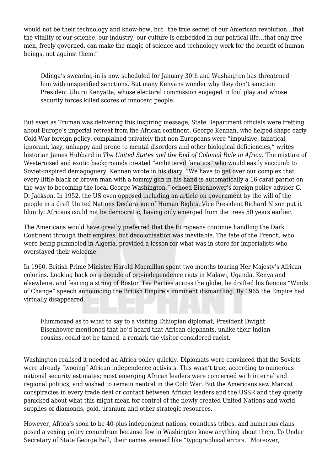would not be their technology and know-how, but "the true secret of our American revolution…that the vitality of our science, our industry, our culture is embedded in our political life…that only free men, freely governed, can make the magic of science and technology work for the benefit of human beings, not against them."

Odinga's swearing-in is now scheduled for January 30th and Washington has threatened him with unspecified sanctions. But many Kenyans wonder why they don't sanction President Uhuru Kenyatta, whose electoral commission engaged in foul play and whose security forces killed scores of innocent people.

But even as Truman was delivering this inspiring message, State Department officials were fretting about Europe's imperial retreat from the African continent. George Kennan, who helped shape early Cold War foreign policy, complained privately that non-Europeans were "impulsive, fanatical, ignorant, lazy, unhappy and prone to mental disorders and other biological deficiencies," writes historian James Hubbard in *The United States and the End of Colonial Rule in Africa*. The mixture of Westernised and exotic backgrounds created "embittered fanatics" who would easily succumb to Soviet-inspired demagoguery, Kennan wrote in his diary. "We have to get over our complex that every little black or brown man with a tommy gun in his hand is automatically a 16-carat patriot on the way to becoming the local George Washington," echoed Eisenhower's foreign policy adviser C. D. Jackson. In 1952, the US even opposed including an article on government by the will of the people in a draft United Nations Declaration of Human Rights. Vice President Richard Nixon put it bluntly: Africans could not be democratic, having only emerged from the trees 50 years earlier.

The Americans would have greatly preferred that the Europeans continue handling the Dark Continent through their empires, but decolonisation was inevitable. The fate of the French, who were being pummeled in Algeria, provided a lesson for what was in store for imperialists who overstayed their welcome.

In 1960, British Prime Minister Harold Macmillan spent two months touring Her Majesty's African colonies. Looking back on a decade of pro-independence riots in Malawi, Uganda, Kenya and elsewhere, and fearing a string of Boston Tea Parties across the globe, he drafted his famous "Winds of Change" speech announcing the British Empire's imminent dismantling. By 1965 the Empire had virtually disappeared.

Flummoxed as to what to say to a visiting Ethiopian diplomat, President Dwight Eisenhower mentioned that he'd heard that African elephants, unlike their Indian cousins, could not be tamed, a remark the visitor considered racist.

Washington realised it needed an Africa policy quickly. Diplomats were convinced that the Soviets were already "wooing" African independence activists. This wasn't true, according to numerous national security estimates; most emerging African leaders were concerned with internal and regional politics, and wished to remain neutral in the Cold War. But the Americans saw Marxist conspiracies in every trade deal or contact between African leaders and the USSR and they quietly panicked about what this might mean for control of the newly created United Nations and world supplies of diamonds, gold, uranium and other strategic resources.

However, Africa's soon to be 40-plus independent nations, countless tribes, and numerous clans posed a vexing policy conundrum because few in Washington knew anything about them. To Under Secretary of State George Ball, their names seemed like "typographical errors." Moreover,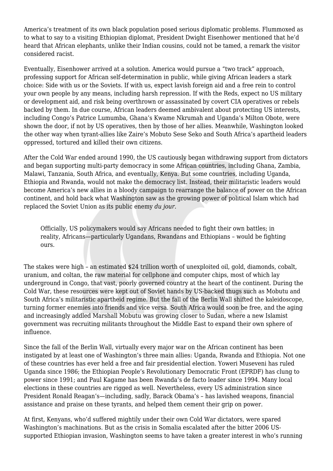America's treatment of its own black population posed serious diplomatic problems. Flummoxed as to what to say to a visiting Ethiopian diplomat, President Dwight Eisenhower mentioned that he'd heard that African elephants, unlike their Indian cousins, could not be tamed, a remark the visitor considered racist.

Eventually, Eisenhower arrived at a solution. America would pursue a "two track" approach, professing support for African self-determination in public, while giving African leaders a stark choice: Side with us or the Soviets. If with us, expect lavish foreign aid and a free rein to control your own people by any means, including harsh repression. If with the Reds, expect no US military or development aid, and risk being overthrown or assassinated by covert CIA operatives or rebels backed by them. In due course, African leaders deemed ambivalent about protecting US interests, including Congo's Patrice Lumumba, Ghana's Kwame Nkrumah and Uganda's Milton Obote, were shown the door, if not by US operatives, then by those of her allies. Meanwhile, Washington looked the other way when tyrant-allies like Zaire's Mobuto Sese Seko and South Africa's apartheid leaders oppressed, tortured and killed their own citizens.

After the Cold War ended around 1990, the US cautiously began withdrawing support from dictators and began supporting multi-party democracy in some African countries, including Ghana, Zambia, Malawi, Tanzania, South Africa, and eventually, Kenya. But some countries, including Uganda, Ethiopia and Rwanda, would not make the democracy list. Instead, their militaristic leaders would become America's new allies in a bloody campaign to rearrange the balance of power on the African continent, and hold back what Washington saw as the growing power of political Islam which had replaced the Soviet Union as its public enemy *du jour*.

Officially, US policymakers would say Africans needed to fight their own battles; in reality, Africans—particularly Ugandans, Rwandans and Ethiopians – would be fighting ours.

The stakes were high – an estimated \$24 trillion worth of unexploited oil, gold, diamonds, cobalt, uranium, and coltan, the raw material for cellphone and computer chips, most of which lay underground in Congo, that vast, poorly governed country at the heart of the continent. During the Cold War, these resources were kept out of Soviet hands by US-backed thugs such as Mobutu and South Africa's militaristic apartheid regime. But the fall of the Berlin Wall shifted the kaleidoscope, turning former enemies into friends and vice versa. South Africa would soon be free, and the aging and increasingly addled Marshall Mobutu was growing closer to Sudan, where a new Islamist government was recruiting militants throughout the Middle East to expand their own sphere of influence.

Since the fall of the Berlin Wall, virtually every major war on the African continent has been instigated by at least one of Washington's three main allies: Uganda, Rwanda and Ethiopia. Not one of these countries has ever held a free and fair presidential election. Yoweri Museveni has ruled Uganda since 1986; the Ethiopian People's Revolutionary Democratic Front (EPRDF) has clung to power since 1991; and Paul Kagame has been Rwanda's de facto leader since 1994. Many local elections in these countries are rigged as well. Nevertheless, every US administration since President Ronald Reagan's—including, sadly, Barack Obama's – has lavished weapons, financial assistance and praise on these tyrants, and helped them cement their grip on power.

At first, Kenyans, who'd suffered mightily under their own Cold War dictators, were spared Washington's machinations. But as the crisis in Somalia escalated after the bitter 2006 USsupported Ethiopian invasion, Washington seems to have taken a greater interest in who's running